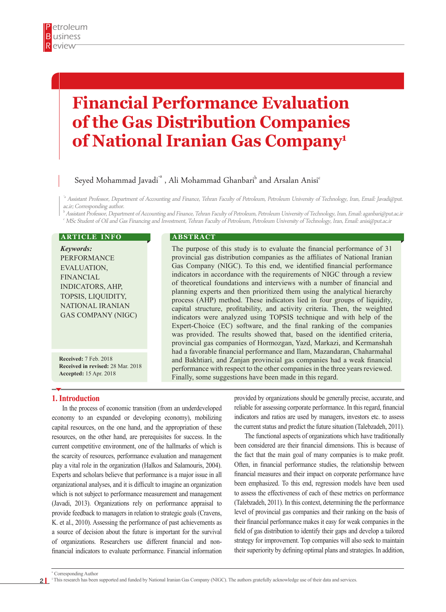# **Financial Performance Evaluation of the Gas Distribution Companies of National Iranian Gas Company1**

# Seyed Mohammad Javadi $^{\text{\tiny{\textsf{ia}}}}$  , Ali Mohammad Ghanbari $^{\text{\tiny{\textsf{b}}}}$  and Arsalan Anisi $^{\text{\tiny{\textsf{c}}}}$

<sup>\*a</sup> Assistant Professor, Department of Accounting and Finance, Tehran Faculty of Petroleum, Petroleum University of Technology, Iran, Email: Javadi@put. ac.ir; Corresponding author.

 $^{\rm b}$  Assistant Professor, Department of Accounting and Finance, Tehran Faculty of Petroleum, Petroleum University of Technology, Iran, Email: aganbari@put.ac.ir c MSc Student of Oil and Gas Financing and Investment, Tehran Faculty of Petroleum, Petroleum University of Technology, Iran, Email: anisi@put.ac.ir

#### **ARTICLE INFO**

*Keywords:* PERFORMANCE EVALUATION, FINANCIAL INDICATORS, AHP, TOPSIS, LIQUIDITY, NATIONAL IRANIAN GAS COMPANY (NIGC)

**Received:** 7 Feb. 2018 **Received in revised:** 28 Mar. 2018 **Accepted:** 15 Apr. 2018

#### **A B S T R A C T**

The purpose of this study is to evaluate the financial performance of 31 provincial gas distribution companies as the affiliates of National Iranian Gas Company (NIGC). To this end, we identified financial performance indicators in accordance with the requirements of NIGC through a review of theoretical foundations and interviews with a number of financial and planning experts and then prioritized them using the analytical hierarchy process (AHP) method. These indicators lied in four groups of liquidity, capital structure, profitability, and activity criteria. Then, the weighted indicators were analyzed using TOPSIS technique and with help of the Expert-Choice (EC) software, and the final ranking of the companies was provided. The results showed that, based on the identified criteria, provincial gas companies of Hormozgan, Yazd, Markazi, and Kermanshah had a favorable financial performance and Ilam, Mazandaran, Chaharmahal and Bakhtiari, and Zanjan provincial gas companies had a weak financial performance with respect to the other companies in the three years reviewed. Finally, some suggestions have been made in this regard.

#### **1. Introduction**

In the process of economic transition (from an underdeveloped economy to an expanded or developing economy), mobilizing capital resources, on the one hand, and the appropriation of these resources, on the other hand, are prerequisites for success. In the current competitive environment, one of the hallmarks of which is the scarcity of resources, performance evaluation and management play a vital role in the organization (Halkos and Salamouris, 2004). Experts and scholars believe that performance is a major issue in all organizational analyses, and it is difficult to imagine an organization which is not subject to performance measurement and management (Javadi, 2013). Organizations rely on performance appraisal to provide feedback to managers in relation to strategic goals (Cravens, K. et al., 2010). Assessing the performance of past achievements as a source of decision about the future is important for the survival of organizations. Researchers use different financial and nonfinancial indicators to evaluate performance. Financial information

provided by organizations should be generally precise, accurate, and reliable for assessing corporate performance. In this regard, financial indicators and ratios are used by managers, investors etc. to assess the current status and predict the future situation (Talebzadeh, 2011).

The functional aspects of organizations which have traditionally been considered are their financial dimensions. This is because of the fact that the main goal of many companies is to make profit. Often, in financial performance studies, the relationship between financial measures and their impact on corporate performance have been emphasized. To this end, regression models have been used to assess the effectiveness of each of these metrics on performance (Talebzadeh, 2011). In this context, determining the the performance level of provincial gas companies and their ranking on the basis of their financial performance makes it easy for weak companies in the field of gas distribution to identify their gaps and develop a tailored strategy for improvement. Top companies will also seek to maintain their superiority by defining optimal plans and strategies. In addition,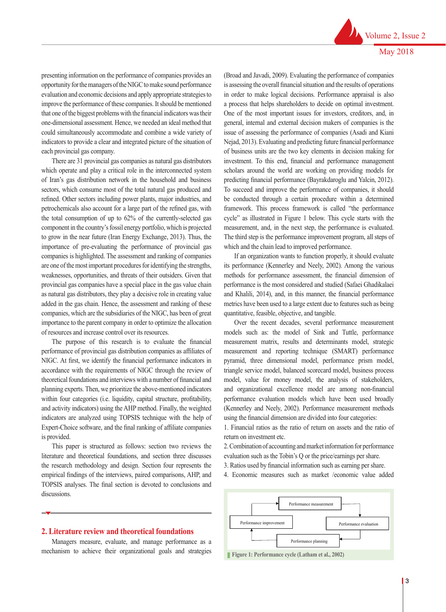presenting information on the performance of companies provides an opportunity for the managers of the NIGC to make sound performance evaluation and economic decisions and apply appropriate strategies to improve the performance of these companies. It should be mentioned that one of the biggest problems with the financial indicators was their one-dimensional assessment. Hence, we needed an ideal method that could simultaneously accommodate and combine a wide variety of indicators to provide a clear and integrated picture of the situation of each provincial gas company.

There are 31 provincial gas companies as natural gas distributors which operate and play a critical role in the interconnected system of Iran's gas distribution network in the household and business sectors, which consume most of the total natural gas produced and refined. Other sectors including power plants, major industries, and petrochemicals also account for a large part of the refined gas, with the total consumption of up to 62% of the currently-selected gas component in the country's fossil energy portfolio, which is projected to grow in the near future (Iran Energy Exchange, 2013). Thus, the importance of pre-evaluating the performance of provincial gas companies is highlighted. The assessment and ranking of companies are one of the most important procedures for identifying the strengths, weaknesses, opportunities, and threats of their outsiders. Given that provincial gas companies have a special place in the gas value chain as natural gas distributors, they play a decisive role in creating value added in the gas chain. Hence, the assessment and ranking of these companies, which are the subsidiaries of the NIGC, has been of great importance to the parent company in order to optimize the allocation of resources and increase control over its resources.

The purpose of this research is to evaluate the financial performance of provincial gas distribution companies as affiliates of NIGC. At first, we identify the financial performance indicators in accordance with the requirements of NIGC through the review of theoretical foundations and interviews with a number of financial and planning experts. Then, we prioritize the above-mentioned indicators within four categories (i.e. liquidity, capital structure, profitability, and activity indicators) using the AHP method. Finally, the weighted indicators are analyzed using TOPSIS technique with the help of Expert-Choice software, and the final ranking of affiliate companies is provided.

This paper is structured as follows: section two reviews the literature and theoretical foundations, and section three discusses the research methodology and design. Section four represents the empirical findings of the interviews, paired comparisons, AHP, and TOPSIS analyses. The final section is devoted to conclusions and discussions.

#### **2. Literature review and theoretical foundations**

Managers measure, evaluate, and manage performance as a mechanism to achieve their organizational goals and strategies

(Broad and Javadi, 2009). Evaluating the performance of companies is assessing the overall financial situation and the results of operations in order to make logical decisions. Performance appraisal is also a process that helps shareholders to decide on optimal investment. One of the most important issues for investors, creditors, and, in general, internal and external decision makers of companies is the issue of assessing the performance of companies (Asadi and Kiani Nejad, 2013). Evaluating and predicting future financial performance of business units are the two key elements in decision making for investment. To this end, financial and performance management scholars around the world are working on providing models for predicting financial performance (Bayrakdaroglu and Yalcin, 2012). To succeed and improve the performance of companies, it should be conducted through a certain procedure within a determined framework. This process framework is called "the performance cycle" as illustrated in Figure 1 below. This cycle starts with the measurement, and, in the next step, the performance is evaluated. The third step is the performance improvement program, all steps of which and the chain lead to improved performance.

If an organization wants to function properly, it should evaluate its performance (Kennerley and Neely, 2002). Among the various methods for performance assessment, the financial dimension of performance is the most considered and studied (Safaei Ghadikalaei and Khalili, 2014), and, in this manner, the financial performance metrics have been used to a large extent due to features such as being quantitative, feasible, objective, and tangible.

The empirical finding of the external findings of the interview, and the geoclections, AHP, and TopSiS and TopSiS and TopSiS and TopSiS and TopSiS and TopSiS and TopSiS and TopSiS and TopSiS and TopSiS and TopSiS and TopSi models such as: the model of Sink and Tuttle, performance measurement matrix, results and determinants model, strategic measurement and reporting technique (SMART) performance pyramid, three dimensional model, performance prism model, triangle service model, balanced scorecard model, business process model, value for money model, the analysis of stakeholders, and organizational excellence model are among non-financial performance evaluation models which have been used broadly (Kennerley and Neely, 2002). Performance measurement methods using the financial dimension are divided into four categories: Over the recent decades, several perdecisions. One of the model, balance is selected inversions and process performance evaluation models which have been used broadly

1. Financial ratios as the ratio of return on assets and the ratio of return on investment etc. measurement is the step in the performance in the performance is the performance in the third step is the third step is the third step is the third step is the third step is the third step is the third step is the third st

2. Combination of accounting and market information for performance evaluation such as the Tobin's Q or the price/earnings per share.  $p$  variation such as the from  $p \vee p$  the price/carrings per share.

- 3. Ratios used by financial information such as earning per share.
- 4. Economic measures such as market /economic value added



stakeholders, and organizational excellence model are among non-financial performance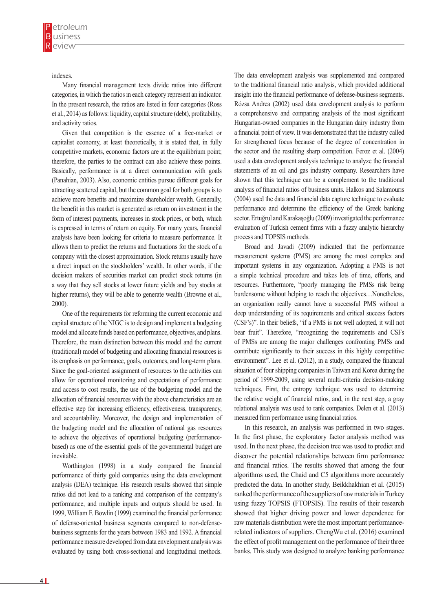indexes.

Many financial management texts divide ratios into different categories, in which the ratios in each category represent an indicator. In the present research, the ratios are listed in four categories (Ross et al., 2014) as follows: liquidity, capital structure (debt), profitability, and activity ratios.

Given that competition is the essence of a free-market or capitalist economy, at least theoretically, it is stated that, in fully competitive markets, economic factors are at the equilibrium point; therefore, the parties to the contract can also achieve these points. Basically, performance is at a direct communication with goals (Panahian, 2003). Also, economic entities pursue different goals for attracting scattered capital, but the common goal for both groups is to achieve more benefits and maximize shareholder wealth. Generally, the benefit in this market is generated as return on investment in the form of interest payments, increases in stock prices, or both, which is expressed in terms of return on equity. For many years, financial analysts have been looking for criteria to measure performance. It allows them to predict the returns and fluctuations for the stock of a company with the closest approximation. Stock returns usually have a direct impact on the stockholders' wealth. In other words, if the decision makers of securities market can predict stock returns (in a way that they sell stocks at lower future yields and buy stocks at higher returns), they will be able to generate wealth (Browne et al., 2000).

One of the requirements for reforming the current economic and capital structure of the NIGC is to design and implement a budgeting model and allocate funds based on performance, objectives, and plans. Therefore, the main distinction between this model and the current (traditional) model of budgeting and allocating financial resources is its emphasis on performance, goals, outcomes, and long-term plans. Since the goal-oriented assignment of resources to the activities can allow for operational monitoring and expectations of performance and access to cost results, the use of the budgeting model and the allocation of financial resources with the above characteristics are an effective step for increasing efficiency, effectiveness, transparency, and accountability. Moreover, the design and implementation of the budgeting model and the allocation of national gas resources to achieve the objectives of operational budgeting (performancebased) as one of the essential goals of the governmental budget are inevitable.

Worthington (1998) in a study compared the financial performance of thirty gold companies using the data envelopment analysis (DEA) technique. His research results showed that simple ratios did not lead to a ranking and comparison of the company's performance, and multiple inputs and outputs should be used. In 1999, William F. Bowlin (1999) examined the financial performance of defense-oriented business segments compared to non-defensebusiness segments for the years between 1983 and 1992. A financial performance measure developed from data envelopment analysis was evaluated by using both cross-sectional and longitudinal methods.

The data envelopment analysis was supplemented and compared to the traditional financial ratio analysis, which provided additional insight into the financial performance of defense-business segments. Rózsa Andrea (2002) used data envelopment analysis to perform a comprehensive and comparing analysis of the most significant Hungarian-owned companies in the Hungarian dairy industry from a financial point of view. It was demonstrated that the industry called for strengthened focus because of the degree of concentration in the sector and the resulting sharp competition. Feroz et al. (2004) used a data envelopment analysis technique to analyze the financial statements of an oil and gas industry company. Researchers have shown that this technique can be a complement to the traditional analysis of financial ratios of business units. Halkos and Salamouris (2004) used the data and financial data capture technique to evaluate performance and determine the efficiency of the Greek banking sector. Ertuğrul and Karakaşoğlu (2009) investigated the performance evaluation of Turkish cement firms with a fuzzy analytic hierarchy process and TOPSIS methods.

Broad and Javadi (2009) indicated that the performance measurement systems (PMS) are among the most complex and important systems in any organization. Adopting a PMS is not a simple technical procedure and takes lots of time, efforts, and resources. Furthermore, "poorly managing the PMSs risk being burdensome without helping to reach the objectives…Nonetheless, an organization really cannot have a successful PMS without a deep understanding of its requirements and critical success factors (CSF's)". In their beliefs, "if a PMS is not well adopted, it will not bear fruit". Therefore, "recognizing the requirements and CSFs of PMSs are among the major challenges confronting PMSs and contribute significantly to their success in this highly competitive environment". Lee et al. (2012), in a study, compared the financial situation of four shipping companies in Taiwan and Korea during the period of 1999-2009, using several multi-criteria decision-making techniques. First, the entropy technique was used to determine the relative weight of financial ratios, and, in the next step, a gray relational analysis was used to rank companies. Delen et al. (2013) measured firm performance using financial ratios.

In this research, an analysis was performed in two stages. In the first phase, the exploratory factor analysis method was used. In the next phase, the decision tree was used to predict and discover the potential relationships between firm performance and financial ratios. The results showed that among the four algorithms used, the Chaid and C5 algorithms more accurately predicted the data. In another study, Beikkhakhian et al. (2015) ranked the performance of the suppliers of raw materials in Turkey using fuzzy TOPSIS (FTOPSIS). The results of their research showed that higher driving power and lower dependence for raw materials distribution were the most important performancerelated indicators of suppliers. ChengWu et al. (2016) examined the effect of profit management on the performance of their three banks. This study was designed to analyze banking performance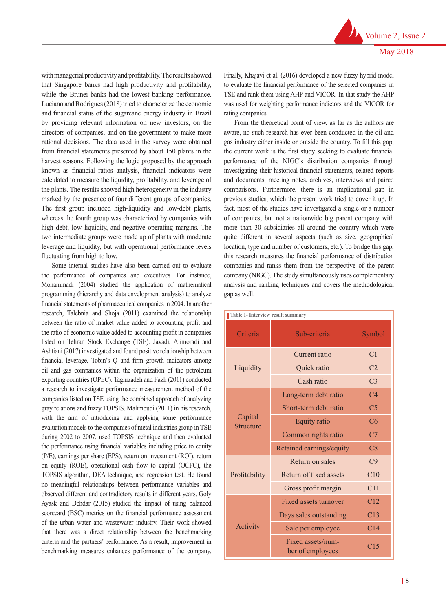Volume 2, Issue 2 May 2018

with managerial productivity and profitability. The results showed that Singapore banks had high productivity and profitability, while the Brunei banks had the lowest banking performance. Luciano and Rodrigues (2018) tried to characterize the economic and financial status of the sugarcane energy industry in Brazil by providing relevant information on new investors, on the directors of companies, and on the government to make more rational decisions. The data used in the survey were obtained from financial statements presented by about 150 plants in the harvest seasons. Following the logic proposed by the approach known as financial ratios analysis, financial indicators were calculated to measure the liquidity, profitability, and leverage of the plants. The results showed high heterogeneity in the industry marked by the presence of four different groups of companies. The first group included high-liquidity and low-debt plants, whereas the fourth group was characterized by companies with high debt, low liquidity, and negative operating margins. The two intermediate groups were made up of plants with moderate leverage and liquidity, but with operational performance levels fluctuating from high to low.

Some internal studies have also been carried out to evaluate the performance of companies and executives. For instance, Mohammadi (2004) studied the application of mathematical programming (hierarchy and data envelopment analysis) to analyze financial statements of pharmaceutical companies in 2004. In another research, Talebnia and Shoja (2011) examined the relationship between the ratio of market value added to accounting profit and the ratio of economic value added to accounting profit in companies listed on Tehran Stock Exchange (TSE). Javadi, Alimoradi and Ashtiani (2017) investigated and found positive relationship between financial leverage, Tobin's Q and firm growth indicators among oil and gas companies within the organization of the petroleum exporting countries (OPEC). Taghizadeh and Fazli (2011) conducted a research to investigate performance measurement method of the companies listed on TSE using the combined approach of analyzing gray relations and fuzzy TOPSIS. Mahmoudi (2011) in his research, with the aim of introducing and applying some performance evaluation models to the companies of metal industries group in TSE during 2002 to 2007, used TOPSIS technique and then evaluated the performance using financial variables including price to equity (P/E), earnings per share (EPS), return on investment (ROI), return on equity (ROE), operational cash flow to capital (OCFC), the TOPSIS algorithm, DEA technique, and regression test. He found no meaningful relationships between performance variables and observed different and contradictory results in different years. Goly Ayask and Dehdar (2015) studied the impact of using balanced scorecard (BSC) metrics on the financial performance assessment of the urban water and wastewater industry. Their work showed that there was a direct relationship between the benchmarking criteria and the partners' performance. As a result, improvement in benchmarking measures enhances performance of the company.

Finally, Khajavi et al. (2016) developed a new fuzzy hybrid model to evaluate the financial performance of the selected companies in TSE and rank them using AHP and VICOR. In that study the AHP was used for weighting performance indictors and the VICOR for rating companies.

From the theoretical point of view, as far as the authors are aware, no such research has ever been conducted in the oil and gas industry either inside or outside the country. To fill this gap, the current work is the first study seeking to evaluate financial performance of the NIGC's distribution companies through investigating their historical financial statements, related reports and documents, meeting notes, archives, interviews and paired comparisons. Furthermore, there is an implicational gap in previous studies, which the present work tried to cover it up. In fact, most of the studies have investigated a single or a number of companies, but not a nationwide big parent company with more than 30 subsidiaries all around the country which were quite different in several aspects (such as size, geographical location, type and number of customers, etc.). To bridge this gap, this research measures the financial performance of distribution companies and ranks them from the perspective of the parent company (NIGC). The study simultaneously uses complementary analysis and ranking techniques and covers the methodological gap as well.

| Table 1- Interview result summary |                                       |                 |  |  |  |  |
|-----------------------------------|---------------------------------------|-----------------|--|--|--|--|
| Criteria                          | Sub-criteria                          | Symbol          |  |  |  |  |
|                                   | Current ratio                         | C1              |  |  |  |  |
| Liquidity                         | Quick ratio                           | C <sub>2</sub>  |  |  |  |  |
|                                   | Cash ratio                            | C <sub>3</sub>  |  |  |  |  |
|                                   | Long-term debt ratio                  | C <sub>4</sub>  |  |  |  |  |
|                                   | Short-term debt ratio                 | C <sub>5</sub>  |  |  |  |  |
| Capital<br><b>Structure</b>       | Equity ratio                          | C6              |  |  |  |  |
|                                   | Common rights ratio                   | C7              |  |  |  |  |
|                                   | Retained earnings/equity              | C8              |  |  |  |  |
|                                   | Return on sales                       | C <sub>9</sub>  |  |  |  |  |
| Profitability                     | Return of fixed assets                | C10             |  |  |  |  |
|                                   | Gross profit margin                   | C11             |  |  |  |  |
|                                   | <b>Fixed assets turnover</b>          | C12             |  |  |  |  |
|                                   | Days sales outstanding                | C13             |  |  |  |  |
| Activity                          | Sale per employee                     | C <sub>14</sub> |  |  |  |  |
|                                   | Fixed assets/num-<br>ber of employees | C15             |  |  |  |  |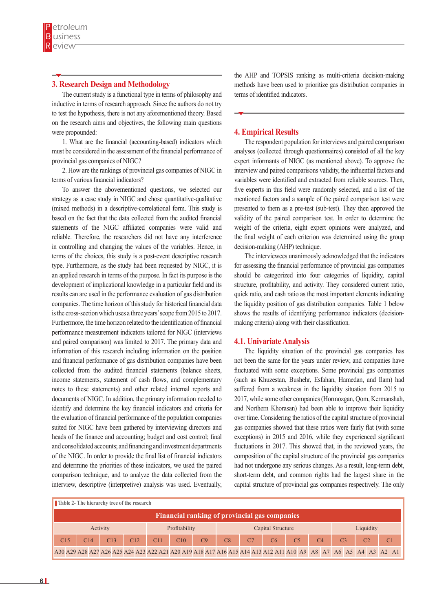### **3. Research Design and Methodology**

The current study is a functional type in terms of philosophy and inductive in terms of research approach. Since the authors do not try to test the hypothesis, there is not any aforementioned theory. Based on the research aims and objectives, the following main questions were propounded:

1. What are the financial (accounting-based) indicators which must be considered in the assessment of the financial performance of provincial gas companies of NIGC?

2. How are the rankings of provincial gas companies of NIGC in terms of various financial indicators?

To answer the abovementioned questions, we selected our strategy as a case study in NIGC and chose quantitative-qualitative (mixed methods) in a descriptive-correlational form. This study is based on the fact that the data collected from the audited financial statements of the NIGC affiliated companies were valid and reliable. Therefore, the researchers did not have any interference in controlling and changing the values of the variables. Hence, in terms of the choices, this study is a post-event descriptive research type. Furthermore, as the study had been requested by NIGC, it is an applied research in terms of the purpose. In fact its purpose is the development of implicational knowledge in a particular field and its results can are used in the performance evaluation of gas distribution companies. The time horizon of this study for historical financial data is the cross-section which uses a three years' scope from 2015 to 2017. Furthermore, the time horizon related to the identification of financial performance measurement indicators tailored for NIGC (interviews and paired comparison) was limited to 2017. The primary data and information of this research including information on the position and financial performance of gas distribution companies have been collected from the audited financial statements (balance sheets, income statements, statement of cash flows, and complementary notes to these statements) and other related internal reports and documents of NIGC. In addition, the primary information needed to identify and determine the key financial indicators and criteria for the evaluation of financial performance of the population companies suited for NIGC have been gathered by interviewing directors and heads of the finance and accounting; budget and cost control; final and consolidated accounts; and financing and investment departments of the NIGC. In order to provide the final list of financial indicators and determine the priorities of these indicators, we used the paired comparison technique, and to analyze the data collected from the interview, descriptive (interpretive) analysis was used. Eventually,

the AHP and TOPSIS ranking as multi-criteria decision-making methods have been used to prioritize gas distribution companies in terms of identified indicators.

#### **4. Empirical Results**

The respondent population for interviews and paired comparison analyses (collected through questionnaires) consisted of all the key expert informants of NIGC (as mentioned above). To approve the interview and paired comparisons validity, the influential factors and variables were identified and extracted from reliable sources. Then, five experts in this field were randomly selected, and a list of the mentioned factors and a sample of the paired comparison test were presented to them as a pre-test (sub-test). They then approved the validity of the paired comparison test. In order to determine the weight of the criteria, eight expert opinions were analyzed, and the final weight of each criterion was determined using the group decision-making (AHP) technique.

The interviewees unanimously acknowledged that the indicators for assessing the financial performance of provincial gas companies should be categorized into four categories of liquidity, capital structure, profitability, and activity. They considered current ratio, quick ratio, and cash ratio as the most important elements indicating the liquidity position of gas distribution companies. Table 1 below shows the results of identifying performance indicators (decisionmaking criteria) along with their classification.

#### **4.1. Univariate Analysis**

The liquidity situation of the provincial gas companies has not been the same for the years under review, and companies have fluctuated with some exceptions. Some provincial gas companies (such as Khuzestan, Bushehr, Esfahan, Hamedan, and Ilam) had suffered from a weakness in the liquidity situation from 2015 to 2017, while some other companies (Hormozgan, Qom, Kermanshah, and Northern Khorasan) had been able to improve their liquidity over time. Considering the ratios of the capital structure of provincial gas companies showed that these ratios were fairly flat (with some exceptions) in 2015 and 2016, while they experienced significant fluctuations in 2017. This showed that, in the reviewed years, the composition of the capital structure of the provincial gas companies had not undergone any serious changes. As a result, long-term debt, short-term debt, and common rights had the largest share in the capital structure of provincial gas companies respectively. The only

|                                                                                                                | <b>Table 2- The hierarchy tree of the research</b> |     |          |                  |  |     |  |    |  |               |    |  |    |    |                   |                 |                |                |           |                |  |
|----------------------------------------------------------------------------------------------------------------|----------------------------------------------------|-----|----------|------------------|--|-----|--|----|--|---------------|----|--|----|----|-------------------|-----------------|----------------|----------------|-----------|----------------|--|
| <b>Financial ranking of provincial gas companies</b>                                                           |                                                    |     |          |                  |  |     |  |    |  |               |    |  |    |    |                   |                 |                |                |           |                |  |
|                                                                                                                |                                                    |     | Activity |                  |  |     |  |    |  | Profitability |    |  |    |    | Capital Structure |                 |                |                | Liquidity |                |  |
| C15                                                                                                            |                                                    | C14 |          | $\overline{C13}$ |  | Cl2 |  | CL |  | C10           | C9 |  | C8 | C7 | $\overline{C6}$   | $\overline{C5}$ | C <sub>4</sub> | C <sub>3</sub> | C2        | C <sub>1</sub> |  |
| A30 A29 A28 A27 A26 A25 A24 A23 A22 A21 A20 A19 A18 A17 A16 A15 A14 A13 A12 A11 A10 A9 A8 A7 A6 A5 A4 A3 A2 A1 |                                                    |     |          |                  |  |     |  |    |  |               |    |  |    |    |                   |                 |                |                |           |                |  |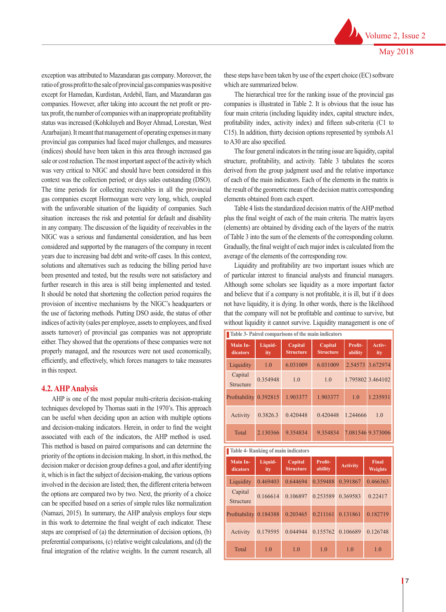exception was attributed to Mazandaran gas company. Moreover, the ratio of gross profit to the sale of provincial gas companies was positive except for Hamedan, Kurdistan, Ardebil, Ilam, and Mazandaran gas companies. However, after taking into account the net profit or pretax profit, the number of companies with an inappropriate profitability status was increased (Kohkiluyeh and Boyer Ahmad, Lorestan, West Azarbaijan). It meant that management of operating expenses in many provincial gas companies had faced major challenges, and measures (indices) should have been taken in this area through increased gas sale or cost reduction. The most important aspect of the activity which was very critical to NIGC and should have been considered in this context was the collection period; or days sales outstanding (DSO). The time periods for collecting receivables in all the provincial gas companies except Hormozgan were very long, which, coupled with the unfavorable situation of the liquidity of companies. Such situation increases the risk and potential for default and disability in any company. The discussion of the liquidity of receivables in the

NIGC was a serious and fundamental consideration, and has been considered and supported by the managers of the company in recent years due to increasing bad debt and write-off cases. In this context, solutions and alternatives such as reducing the billing period have been presented and tested, but the results were not satisfactory and further research in this area is still being implemented and tested. It should be noted that shortening the collection period requires the provision of incentive mechanisms by the NIGC's headquarters or the use of factoring methods. Putting DSO aside, the status of other indices of activity (sales per employee, assets to employees, and fixed assets turnover) of provincial gas companies was not appropriate either. They showed that the operations of these companies were not properly managed, and the resources were not used economically, efficiently, and effectively, which forces managers to take measures in this respect.

#### **4.2. AHP Analysis**

AHP is one of the most popular multi-criteria decision-making techniques developed by Thomas saati in the 1970's. This approach can be useful when deciding upon an action with multiple options and decision-making indicators. Herein, in order to find the weight associated with each of the indicators, the AHP method is used. This method is based on paired comparisons and can determine the priority of the options in decision making. In short, in this method, the decision maker or decision group defines a goal, and after identifying it, which is in fact the subject of decision-making, the various options involved in the decision are listed; then, the different criteria between the options are compared two by two. Next, the priority of a choice can be specified based on a series of simple rules like normalization (Namazi, 2015). In summary, the AHP analysis employs four steps in this work to determine the final weight of each indicator. These steps are comprised of (a) the determination of decision options, (b) preferential comparisons, (c) relative weight calculations, and (d) the final integration of the relative weights. In the current research, all these steps have been taken by use of the expert choice (EC) software which are summarized below.

The hierarchical tree for the ranking issue of the provincial gas companies is illustrated in Table 2. It is obvious that the issue has four main criteria (including liquidity index, capital structure index, profitability index, activity index) and fifteen sub-criteria (C1 to C15). In addition, thirty decision options represented by symbols A1 to A30 are also specified.

The four general indicators in the rating issue are liquidity, capital structure, profitability, and activity. Table 3 tabulates the scores derived from the group judgment used and the relative importance of each of the main indicators. Each of the elements in the matrix is the result of the geometric mean of the decision matrix corresponding elements obtained from each expert.

Table 4 lists the standardized decision matrix of the AHP method plus the final weight of each of the main criteria. The matrix layers (elements) are obtained by dividing each of the layers of the matrix of Table 3 into the sum of the elements of the corresponding column. Gradually, the final weight of each major index is calculated from the average of the elements of the corresponding row.

Liquidity and profitability are two important issues which are of particular interest to financial analysts and financial managers. Although some scholars see liquidity as a more important factor and believe that if a company is not profitable, it is ill, but if it does not have liquidity, it is dying. In other words, there is the likelihood that the company will not be profitable and continue to survive, but without liquidity it cannot survive. Liquidity management is one of

| Table 3- Paired comparisons of the main indicators |                |                                            |                             |  |                    |                                |  |
|----------------------------------------------------|----------------|--------------------------------------------|-----------------------------|--|--------------------|--------------------------------|--|
| Main In-<br>dicators                               | Liquid-<br>ity | Capital<br><b>Structure</b>                | Capital<br><b>Structure</b> |  | Profit-<br>ability | Activ-<br>ity                  |  |
| Liquidity                                          | 1.0            | 6.031009                                   | 6.031009                    |  | 2.54573            | 3.672974                       |  |
| Capital<br>Structure                               | 0.354948       | 1.0                                        | 1.0                         |  |                    | 1.795802 3.464102              |  |
| Profitability                                      | 0.392815       | 1.903377                                   | 1.903377                    |  | 1.0                | 1.235931                       |  |
| Activity                                           | 0.3826.3       | 0.420448                                   | 0.420448                    |  | 1.244666           | 1.0                            |  |
| <b>Total</b>                                       | 2.130366       | 9.354834                                   | 9.354834                    |  |                    | 7.081546 9.373006              |  |
|                                                    |                | <b>Table 4- Ranking of main indicators</b> |                             |  |                    |                                |  |
| Main In-                                           | Liquid-        |                                            |                             |  |                    |                                |  |
| dicators                                           | ity            | Capital<br><b>Structure</b>                | Profit-<br>ability          |  | <b>Activity</b>    | <b>Final</b><br><b>Weights</b> |  |
| Liquidity                                          | 0.469403       | 0.644694                                   | 0.359488                    |  | 0.391867           | 0.466363                       |  |
| Capital<br>Structure                               | 0.166614       | 0.106897                                   | 0.253589                    |  | 0.369583           | 0.22417                        |  |
| Profitability                                      | 0.184388       | 0.203465                                   | 0.211161                    |  | 0.131861           | 0.182719                       |  |
| Activity                                           | 0.179595       | 0.044944                                   | 0.155762                    |  | 0.106689           | 0.126748                       |  |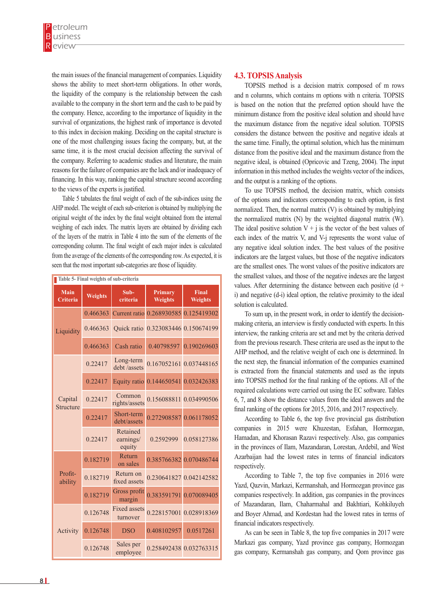the main issues of the financial management of companies. Liquidity shows the ability to meet short-term obligations. In other words, the liquidity of the company is the relationship between the cash available to the company in the short term and the cash to be paid by the company. Hence, according to the importance of liquidity in the survival of organizations, the highest rank of importance is devoted to this index in decision making. Deciding on the capital structure is one of the most challenging issues facing the company, but, at the same time, it is the most crucial decision affecting the survival of the company. Referring to academic studies and literature, the main reasons for the failure of companies are the lack and/or inadequacy of financing. In this way, ranking the capital structure second according to the views of the experts is justified.

Table 5 tabulates the final weight of each of the sub-indices using the AHP model. The weight of each sub-criterion is obtained by multiplying the original weight of the index by the final weight obtained from the internal weighing of each index. The matrix layers are obtained by dividing each of the layers of the matrix in Table 4 into the sum of the elements of the corresponding column. The final weight of each major index is calculated from the average of the elements of the corresponding row. As expected, it is seen that the most important sub-categories are those of liquidity.

| Table 5- Final weights of sub-criteria |                |                                 |                                       |                                |  |  |  |  |
|----------------------------------------|----------------|---------------------------------|---------------------------------------|--------------------------------|--|--|--|--|
| <b>Main</b><br><b>Criteria</b>         | <b>Weights</b> | Sub-<br>criteria                | <b>Primary</b><br><b>Weights</b>      | <b>Final</b><br><b>Weights</b> |  |  |  |  |
|                                        | 0.466363       |                                 | Current ratio 0.268930585 0.125419302 |                                |  |  |  |  |
| Liquidity                              | 0.466363       |                                 | Quick ratio 0.323083446 0.150674199   |                                |  |  |  |  |
|                                        | 0.466363       | Cash ratio                      | 0.40798597                            | 0.190269603                    |  |  |  |  |
|                                        | 0.22417        | Long-term<br>debt /assets       | 0.167052161 0.037448165               |                                |  |  |  |  |
|                                        | 0.22417        | <b>Equity</b> ratio             | 0.144650541 0.032426383               |                                |  |  |  |  |
| Capital<br><b>Structure</b>            | 0.22417        | Common<br>rights/assets         |                                       | 0.156088811 0.034990506        |  |  |  |  |
|                                        | 0.22417        | Short-term<br>debt/assets       |                                       | 0.272908587 0.061178052        |  |  |  |  |
|                                        | 0.22417        | Retained<br>earnings/<br>equity | 0.2592999                             | 0.058127386                    |  |  |  |  |
|                                        | 0.182719       | Return<br>on sales              |                                       | 0.385766382 0.070486744        |  |  |  |  |
| Profit-<br>ability                     | 0.182719       | Return on<br>fixed assets       |                                       | 0.230641827 0.042142582        |  |  |  |  |
|                                        | 0.182719       | Gross profit<br>margin          |                                       | 0.383591791 0.070089405        |  |  |  |  |
|                                        | 0.126748       | <b>Fixed assets</b><br>turnover |                                       | 0.228157001 0.028918369        |  |  |  |  |
| Activity                               | 0.126748       | <b>DSO</b>                      | 0.408102957                           | 0.0517261                      |  |  |  |  |
|                                        | 0.126748       | Sales per<br>employee           | 0.258492438 0.032763315               |                                |  |  |  |  |

## **4.3. TOPSIS Analysis**

TOPSIS method is a decision matrix composed of m rows and n columns, which contains m options with n criteria. TOPSIS is based on the notion that the preferred option should have the minimum distance from the positive ideal solution and should have the maximum distance from the negative ideal solution. TOPSIS considers the distance between the positive and negative ideals at the same time. Finally, the optimal solution, which has the minimum distance from the positive ideal and the maximum distance from the negative ideal, is obtained (Opricovic and Tzeng, 2004). The input information in this method includes the weights vector of the indices, and the output is a ranking of the options.

To use TOPSIS method, the decision matrix, which consists of the options and indicators corresponding to each option, is first normalized. Then, the normal matrix (V) is obtained by multiplying the normalized matrix (N) by the weighted diagonal matrix (W). The ideal positive solution  $V + i$  is the vector of the best values of each index of the matrix V, and V-j represents the worst value of any negative ideal solution index. The best values of the positive indicators are the largest values, but those of the negative indicators are the smallest ones. The worst values of the positive indicators are the smallest values, and those of the negative indexes are the largest values. After determining the distance between each positive  $(d +$ i) and negative (d-i) ideal option, the relative proximity to the ideal solution is calculated.

To sum up, in the present work, in order to identify the decisionmaking criteria, an interview is firstly conducted with experts. In this interview, the ranking criteria are set and met by the criteria derived from the previous research. These criteria are used as the input to the AHP method, and the relative weight of each one is determined. In the next step, the financial information of the companies examined is extracted from the financial statements and used as the inputs into TOPSIS method for the final ranking of the options. All of the required calculations were carried out using the EC software. Tables 6, 7, and 8 show the distance values from the ideal answers and the final ranking of the options for 2015, 2016, and 2017 respectively.

According to Table 6, the top five provincial gas distribution companies in 2015 were Khuzestan, Esfahan, Hormozgan, Hamadan, and Khorasan Razavi respectively. Also, gas companies in the provinces of Ilam, Mazandaran, Lorestan, Ardebil, and West Azarbaijan had the lowest rates in terms of financial indicators respectively.

According to Table 7, the top five companies in 2016 were Yazd, Qazvin, Markazi, Kermanshah, and Hormozgan province gas companies respectively. In addition, gas companies in the provinces of Mazandaran, Ilam, Chaharmahal and Bakhtiari, Kohkiluyeh and Boyer Ahmad, and Kordestan had the lowest rates in terms of financial indicators respectively.

As can be seen in Table 8, the top five companies in 2017 were Markazi gas company, Yazd province gas company, Hormozgan gas company, Kermanshah gas company, and Qom province gas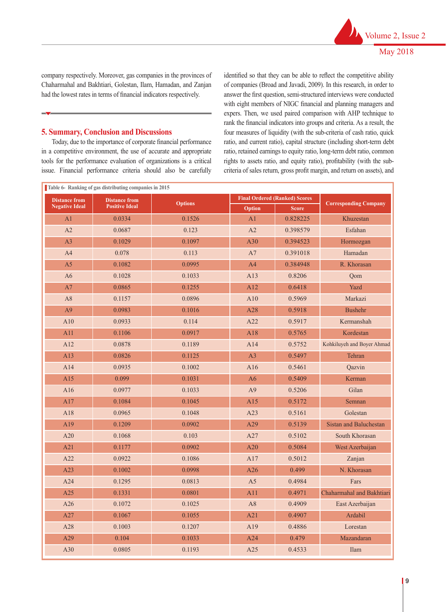company respectively. Moreover, gas companies in the provinces of Chaharmahal and Bakhtiari, Golestan, Ilam, Hamadan, and Zanjan had the lowest rates in terms of financial indicators respectively.

# **5. Summary, Conclusion and Discussions**

Today, due to the importance of corporate financial performance in a competitive environment, the use of accurate and appropriate tools for the performance evaluation of organizations is a critical issue. Financial performance criteria should also be carefully

identified so that they can be able to reflect the competitive ability of companies (Broad and Javadi, 2009). In this research, in order to answer the first question, semi-structured interviews were conducted with eight members of NIGC financial and planning managers and expers. Then, we used paired comparison with AHP technique to rank the financial indicators into groups and criteria. As a result, the four measures of liquidity (with the sub-criteria of cash ratio, quick ratio, and current ratio), capital structure (including short-term debt ratio, retained earnings to equity ratio, long-term debt ratio, common rights to assets ratio, and equity ratio), profitability (with the subcriteria of sales return, gross profit margin, and return on assets), and

|                       | Table 6- Ranking of gas distributing companies in 2015 |                |                |                                      |                              |  |  |
|-----------------------|--------------------------------------------------------|----------------|----------------|--------------------------------------|------------------------------|--|--|
| <b>Distance from</b>  | <b>Distance from</b>                                   | <b>Options</b> |                | <b>Final Ordered (Ranked) Scores</b> | <b>Corresponding Company</b> |  |  |
| <b>Negative Ideal</b> | <b>Positive Ideal</b>                                  |                | Option         | <b>Score</b>                         |                              |  |  |
| A <sub>1</sub>        | 0.0334                                                 | 0.1526         | A <sub>1</sub> | 0.828225                             | Khuzestan                    |  |  |
| A2                    | 0.0687                                                 | 0.123          | A2             | 0.398579                             | Esfahan                      |  |  |
| A <sub>3</sub>        | 0.1029                                                 | 0.1097         | A30            | 0.394523                             | Hormozgan                    |  |  |
| A4                    | 0.078                                                  | 0.113          | A7             | 0.391018                             | Hamadan                      |  |  |
| A <sub>5</sub>        | 0.1082                                                 | 0.0995         | A4             | 0.384948                             | R. Khorasan                  |  |  |
| A6                    | 0.1028                                                 | 0.1033         | A13            | 0.8206                               | Qom                          |  |  |
| A7                    | 0.0865                                                 | 0.1255         | A12            | 0.6418                               | Yazd                         |  |  |
| A8                    | 0.1157                                                 | 0.0896         | A10            | 0.5969                               | Markazi                      |  |  |
| A <sup>9</sup>        | 0.0983                                                 | 0.1016         | A28            | 0.5918                               | <b>Bushehr</b>               |  |  |
| A10                   | 0.0933                                                 | 0.114          | A22            | 0.5917                               | Kermanshah                   |  |  |
| A11                   | 0.1106                                                 | 0.0917         | A18            | 0.5765                               | Kordestan                    |  |  |
| A12                   | 0.0878                                                 | 0.1189         | A14            | 0.5752                               | Kohkiluyeh and Boyer Ahmad   |  |  |
| A13                   | 0.0826                                                 | 0.1125         | A3             | 0.5497                               | Tehran                       |  |  |
| A14                   | 0.0935                                                 | 0.1002         | A16            | 0.5461                               | Qazvin                       |  |  |
| A15                   | 0.099                                                  | 0.1031         | A6             | 0.5409                               | Kerman                       |  |  |
| A16                   | 0.0977                                                 | 0.1033         | A <sup>9</sup> | 0.5206                               | Gilan                        |  |  |
| A17                   | 0.1084                                                 | 0.1045         | A15            | 0.5172                               | Semnan                       |  |  |
| A18                   | 0.0965                                                 | 0.1048         | A23            | 0.5161                               | Golestan                     |  |  |
| A19                   | 0.1209                                                 | 0.0902         | A29            | 0.5139                               | Sistan and Baluchestan       |  |  |
| A20                   | 0.1068                                                 | 0.103          | A27            | 0.5102                               | South Khorasan               |  |  |
| A21                   | 0.1177                                                 | 0.0902         | A20            | 0.5084                               | West Azerbaijan              |  |  |
| A22                   | 0.0922                                                 | 0.1086         | A17            | 0.5012                               | Zanjan                       |  |  |
| A23                   | 0.1002                                                 | 0.0998         | A26            | 0.499                                | N. Khorasan                  |  |  |
| A24                   | 0.1295                                                 | 0.0813         | A <sub>5</sub> | 0.4984                               | Fars                         |  |  |
| A25                   | 0.1331                                                 | 0.0801         | A11            | 0.4971                               | Chaharmahal and Bakhtiari    |  |  |
| A26                   | 0.1072                                                 | 0.1025         | A8             | 0.4909                               | East Azerbaijan              |  |  |
| A27                   | 0.1067                                                 | 0.1055         | A21            | 0.4907                               | Ardabil                      |  |  |
| A28                   | 0.1003                                                 | 0.1207         | A19            | 0.4886                               | Lorestan                     |  |  |
| A29                   | 0.104                                                  | 0.1033         | A24            | 0.479                                | Mazandaran                   |  |  |
| A30                   | 0.0805                                                 | 0.1193         | A25            | 0.4533                               | Ilam                         |  |  |
|                       |                                                        |                |                |                                      |                              |  |  |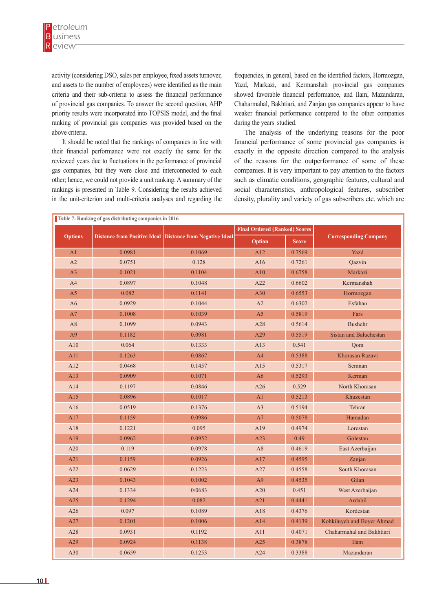activity (considering DSO, sales per employee, fixed assets turnover, and assets to the number of employees) were identified as the main criteria and their sub-criteria to assess the financial performance of provincial gas companies. To answer the second question, AHP priority results were incorporated into TOPSIS model, and the final ranking of provincial gas companies was provided based on the above criteria.

It should be noted that the rankings of companies in line with their financial performance were not exactly the same for the reviewed years due to fluctuations in the performance of provincial gas companies, but they were close and interconnected to each other; hence, we could not provide a unit ranking. A summary of the rankings is presented in Table 9. Considering the results achieved in the unit-criterion and multi-criteria analyses and regarding the

frequencies, in general, based on the identified factors, Hormozgan, Yazd, Markazi, and Kermanshah provincial gas companies showed favorable financial performance, and Ilam, Mazandaran, Chaharmahal, Bakhtiari, and Zanjan gas companies appear to have weaker financial performance compared to the other companies during the years studied.

The analysis of the underlying reasons for the poor financial performance of some provincial gas companies is exactly in the opposite direction compared to the analysis of the reasons for the outperformance of some of these companies. It is very important to pay attention to the factors such as climatic conditions, geographic features, cultural and social characteristics, anthropological features, subscriber density, plurality and variety of gas subscribers etc. which are

|                | Table 7- Ranking of gas distributing companies in 2016 |                                                           |                                      |              |                               |  |  |  |
|----------------|--------------------------------------------------------|-----------------------------------------------------------|--------------------------------------|--------------|-------------------------------|--|--|--|
|                |                                                        |                                                           | <b>Final Ordered (Ranked) Scores</b> |              |                               |  |  |  |
| <b>Options</b> |                                                        | Distance from Positive Ideal Distance from Negative Ideal | Option                               | <b>Score</b> | <b>Corresponding Company</b>  |  |  |  |
| A1             | 0.0981                                                 | 0.1069                                                    | A12                                  | 0.7569       | Yazd                          |  |  |  |
| A2             | 0.0751                                                 | 0.128                                                     | A16                                  | 0.7261       | Qazvin                        |  |  |  |
| A <sub>3</sub> | 0.1021                                                 | 0.1104                                                    | A10                                  | 0.6758       | Markazi                       |  |  |  |
| A4             | 0.0897                                                 | 0.1048                                                    | A22                                  | 0.6602       | Kermanshah                    |  |  |  |
| A <sub>5</sub> | 0.082                                                  | 0.1141                                                    | A30                                  | 0.6553       | Hormozgan                     |  |  |  |
| A <sub>6</sub> | 0.0929                                                 | 0.1044                                                    | A2                                   | 0.6302       | Esfahan                       |  |  |  |
| A7             | 0.1008                                                 | 0.1039                                                    | A <sub>5</sub>                       | 0.5819       | Fars                          |  |  |  |
| A8             | 0.1099                                                 | 0.0943                                                    | A28                                  | 0.5614       | Bushehr                       |  |  |  |
| A <sub>9</sub> | 0.1182                                                 | 0.0981                                                    | A29                                  | 0.5519       | <b>Sistan and Baluchestan</b> |  |  |  |
| A10            | 0.064                                                  | 0.1333                                                    | A13                                  | 0.541        | Qom                           |  |  |  |
| A11            | 0.1263                                                 | 0.0867                                                    | A <sub>4</sub>                       | 0.5388       | Khorasan Razavi               |  |  |  |
| A12            | 0.0468                                                 | 0.1457                                                    | A15                                  | 0.5317       | Semnan                        |  |  |  |
| A13            | 0.0909                                                 | 0.1071                                                    | A6                                   | 0.5293       | Kerman                        |  |  |  |
| A14            | 0.1197                                                 | 0.0846                                                    | A26                                  | 0.529        | North Khorasan                |  |  |  |
| A15            | 0.0896                                                 | 0.1017                                                    | A <sub>1</sub>                       | 0.5213       | Khuzestan                     |  |  |  |
| A16            | 0.0519                                                 | 0.1376                                                    | A3                                   | 0.5194       | Tehran                        |  |  |  |
| A17            | 0.1159                                                 | 0.0986                                                    | A7                                   | 0.5078       | Hamadan                       |  |  |  |
| A18            | 0.1221                                                 | 0.095                                                     | A19                                  | 0.4974       | Lorestan                      |  |  |  |
| A19            | 0.0962                                                 | 0.0952                                                    | A23                                  | 0.49         | Golestan                      |  |  |  |
| A20            | 0.119                                                  | 0.0978                                                    | A8                                   | 0.4619       | East Azerbaijan               |  |  |  |
| A21            | 0.1159                                                 | 0.0926                                                    | A17                                  | 0.4595       | Zanjan                        |  |  |  |
| A22            | 0.0629                                                 | 0.1223                                                    | A27                                  | 0.4558       | South Khorasan                |  |  |  |
| A23            | 0.1043                                                 | 0.1002                                                    | A9                                   | 0.4535       | Gilan                         |  |  |  |
| A24            | 0.1334                                                 | 0/0683                                                    | A20                                  | 0.451        | West Azerbaijan               |  |  |  |
| A25            | 0.1294                                                 | 0.082                                                     | A21                                  | 0.4441       | Ardabil                       |  |  |  |
| A26            | 0.097                                                  | 0.1089                                                    | A18                                  | 0.4376       | Kordestan                     |  |  |  |
| A27            | 0.1201                                                 | 0.1006                                                    | A14                                  | 0.4139       | Kohkiluyeh and Boyer Ahmad    |  |  |  |
| A28            | 0.0931                                                 | 0.1192                                                    | A11                                  | 0.4071       | Chaharmahal and Bakhtiari     |  |  |  |
| A29            | 0.0924                                                 | 0.1138                                                    | A25                                  | 0.3878       | Ilam                          |  |  |  |
| A30            | 0.0659                                                 | 0.1253                                                    | A24                                  | 0.3388       | Mazandaran                    |  |  |  |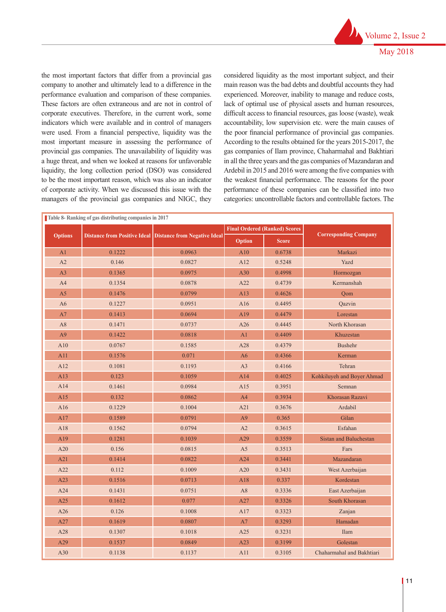the most important factors that differ from a provincial gas company to another and ultimately lead to a difference in the performance evaluation and comparison of these companies. These factors are often extraneous and are not in control of corporate executives. Therefore, in the current work, some indicators which were available and in control of managers were used. From a financial perspective, liquidity was the most important measure in assessing the performance of provincial gas companies. The unavailability of liquidity was a huge threat, and when we looked at reasons for unfavorable liquidity, the long collection period (DSO) was considered to be the most important reason, which was also an indicator of corporate activity. When we discussed this issue with the managers of the provincial gas companies and NIGC, they considered liquidity as the most important subject, and their main reason was the bad debts and doubtful accounts they had experienced. Moreover, inability to manage and reduce costs, lack of optimal use of physical assets and human resources, difficult access to financial resources, gas loose (waste), weak accountability, low supervision etc. were the main causes of the poor financial performance of provincial gas companies. According to the results obtained for the years 2015-2017, the gas companies of Ilam province, Chaharmahal and Bakhtiari in all the three years and the gas companies of Mazandaran and Ardebil in 2015 and 2016 were among the five companies with the weakest financial performance. The reasons for the poor performance of these companies can be classified into two categories: uncontrollable factors and controllable factors. The

|                |                                     |                                     |                | <b>Final Ordered (Ranked) Scores</b> |                              |
|----------------|-------------------------------------|-------------------------------------|----------------|--------------------------------------|------------------------------|
| <b>Options</b> | <b>Distance from Positive Ideal</b> | <b>Distance from Negative Ideal</b> | Option         | <b>Score</b>                         | <b>Corresponding Company</b> |
| A <sub>1</sub> | 0.1222                              | 0.0963                              | A10            | 0.6738                               | Markazi                      |
| A2             | 0.146                               | 0.0827                              | A12            | 0.5248                               | Yazd                         |
| A3             | 0.1365                              | 0.0975                              | A30            | 0.4998                               | Hormozgan                    |
| A <sub>4</sub> | 0.1354                              | 0.0878                              | A22            | 0.4739                               | Kermanshah                   |
| A <sub>5</sub> | 0.1476                              | 0.0799                              | A13            | 0.4626                               | Oom                          |
| A6             | 0.1227                              | 0.0951                              | A16            | 0.4495                               | Qazvin                       |
| A7             | 0.1413                              | 0.0694                              | A19            | 0.4479                               | Lorestan                     |
| A8             | 0.1471                              | 0.0737                              | A26            | 0.4445                               | North Khorasan               |
| A9             | 0.1422                              | 0.0818                              | A1             | 0.4409                               | Khuzestan                    |
| A10            | 0.0767                              | 0.1585                              | A28            | 0.4379                               | <b>Bushehr</b>               |
| A11            | 0.1576                              | 0.071                               | A6             | 0.4366                               | Kerman                       |
| A12            | 0.1081                              | 0.1193                              | A3             | 0.4166                               | Tehran                       |
| A13            | 0.123                               | 0.1059                              | A14            | 0.4025                               | Kohkiluyeh and Boyer Ahmad   |
| A14            | 0.1461                              | 0.0984                              | A15            | 0.3951                               | Semnan                       |
| A15            | 0.132                               | 0.0862                              | A <sup>4</sup> | 0.3934                               | Khorasan Razavi              |
| A16            | 0.1229                              | 0.1004                              | A21            | 0.3676                               | Ardabil                      |
| A17            | 0.1589                              | 0.0791                              | A9             | 0.365                                | Gilan                        |
| A18            | 0.1562                              | 0.0794                              | A2             | 0.3615                               | Esfahan                      |
| A19            | 0.1281                              | 0.1039                              | A29            | 0.3559                               | Sistan and Baluchestan       |
| A20            | 0.156                               | 0.0815                              | A <sub>5</sub> | 0.3513                               | Fars                         |
| A21            | 0.1414                              | 0.0822                              | A24            | 0.3441                               | Mazandaran                   |
| A22            | 0.112                               | 0.1009                              | A20            | 0.3431                               | West Azerbaijan              |
| A23            | 0.1516                              | 0.0713                              | A18            | 0.337                                | Kordestan                    |
| A24            | 0.1431                              | 0.0751                              | A8             | 0.3336                               | East Azerbaijan              |
| A25            | 0.1612                              | 0.077                               | A27            | 0.3326                               | South Khorasan               |
| A26            | 0.126                               | 0.1008                              | A17            | 0.3323                               | Zanjan                       |
| A27            | 0.1619                              | 0.0807                              | A7             | 0.3293                               | Hamadan                      |
| A28            | 0.1307                              | 0.1018                              | A25            | 0.3231                               | Ilam                         |
| A29            | 0.1537                              | 0.0849                              | A23            | 0.3199                               | Golestan                     |
| A30            | 0.1138                              | 0.1137                              | A11            | 0.3105                               | Chaharmahal and Bakhtiari    |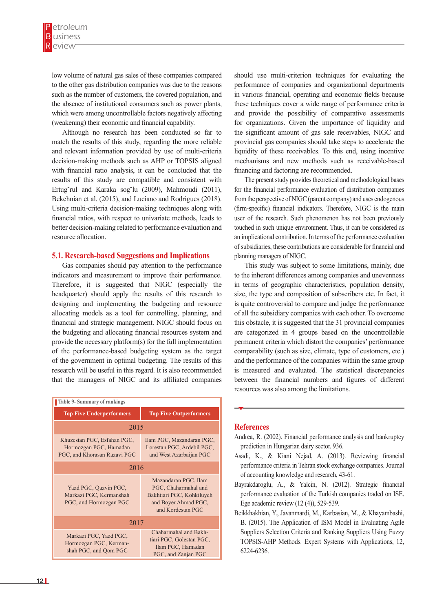low volume of natural gas sales of these companies compared to the other gas distribution companies was due to the reasons such as the number of customers, the covered population, and the absence of institutional consumers such as power plants, which were among uncontrollable factors negatively affecting (weakening) their economic and financial capability.

Although no research has been conducted so far to match the results of this study, regarding the more reliable and relevant information provided by use of multi-criteria decision-making methods such as AHP or TOPSIS aligned with financial ratio analysis, it can be concluded that the results of this study are compatible and consistent with Ertug˘rul and Karaka sog˘lu (2009), Mahmoudi (2011), Bekehnian et al. (2015), and Luciano and Rodrigues (2018). Using multi-criteria decision-making techniques along with financial ratios, with respect to univariate methods, leads to better decision-making related to performance evaluation and resource allocation.

#### **5.1. Research-based Suggestions and Implications**

Gas companies should pay attention to the performance indicators and measurement to improve their performance. Therefore, it is suggested that NIGC (especially the headquarter) should apply the results of this research to designing and implementing the budgeting and resource allocating models as a tool for controlling, planning, and financial and strategic management. NIGC should focus on the budgeting and allocating financial resources system and provide the necessary platform(s) for the full implementation of the performance-based budgeting system as the target of the government in optimal budgeting. The results of this research will be useful in this regard. It is also recommended that the managers of NIGC and its affiliated companies

| <b>Table 9- Summary of rankings</b>                                                   |                                                                                                                        |  |  |  |  |  |  |
|---------------------------------------------------------------------------------------|------------------------------------------------------------------------------------------------------------------------|--|--|--|--|--|--|
| <b>Top Five Underperformers</b>                                                       | <b>Top Five Outperformers</b>                                                                                          |  |  |  |  |  |  |
| 2015                                                                                  |                                                                                                                        |  |  |  |  |  |  |
| Khuzestan PGC, Esfahan PGC,<br>Hormozgan PGC, Hamadan<br>PGC, and Khorasan Razavi PGC | Ilam PGC, Mazandaran PGC,<br>Lorestan PGC, Ardebil PGC,<br>and West Azarbaijan PGC                                     |  |  |  |  |  |  |
| 2016                                                                                  |                                                                                                                        |  |  |  |  |  |  |
| Yazd PGC, Qazvin PGC,<br>Markazi PGC, Kermanshah<br>PGC, and Hormozgan PGC            | Mazandaran PGC, Ilam<br>PGC, Chaharmahal and<br>Bakhtiari PGC, Kohkiluyeh<br>and Boyer Ahmad PGC,<br>and Kordestan PGC |  |  |  |  |  |  |
| 2017                                                                                  |                                                                                                                        |  |  |  |  |  |  |
| Markazi PGC, Yazd PGC,<br>Hormozgan PGC, Kerman-<br>shah PGC, and Qom PGC             | Chaharmahal and Bakh-<br>tiari PGC, Golestan PGC,<br>Ilam PGC, Hamadan<br>PGC, and Zanjan PGC                          |  |  |  |  |  |  |

should use multi-criterion techniques for evaluating the performance of companies and organizational departments in various financial, operating and economic fields because these techniques cover a wide range of performance criteria and provide the possibility of comparative assessments for organizations. Given the importance of liquidity and the significant amount of gas sale receivables, NIGC and provincial gas companies should take steps to accelerate the liquidity of these receivables. To this end, using incentive mechanisms and new methods such as receivable-based financing and factoring are recommended.

The present study provides theoretical and methodological bases for the financial performance evaluation of distribution companies from the perspective of NIGC (parent company) and uses endogenous (firm-specific) financial indicators. Therefore, NIGC is the main user of the research. Such phenomenon has not been previously touched in such unique environment. Thus, it can be considered as an implicational contribution. In terms of the performance evaluation of subsidiaries, these contributions are considerable for financial and planning managers of NIGC.

This study was subject to some limitations, mainly, due to the inherent differences among companies and unevenness in terms of geographic characteristics, population density, size, the type and composition of subscribers etc. In fact, it is quite controversial to compare and judge the performance of all the subsidiary companies with each other. To overcome this obstacle, it is suggested that the 31 provincial companies are categorized in 4 groups based on the uncontrollable permanent criteria which distort the companies' performance comparability (such as size, climate, type of customers, etc.) and the performance of the companies within the same group is measured and evaluated. The statistical discrepancies between the financial numbers and figures of different resources was also among the limitations.

#### **References**

- Andrea, R. (2002). Financial performance analysis and bankruptcy prediction in Hungarian dairy sector. 936.
- Asadi, K., & Kiani Nejad, A. (2013). Reviewing financial performance criteria in Tehran stock exchange companies. Journal of accounting knowledge and research, 43-61.
- Bayrakdaroglu, A., & Yalcin, N. (2012). Strategic financial performance evaluation of the Turkish companies traded on ISE. Ege academic review (12 (4)), 529-539.
- Beikkhakhian, Y., Javanmardi, M., Karbasian, M., & Khayambashi, B. (2015). The Application of ISM Model in Evaluating Agile Suppliers Selection Criteria and Ranking Suppliers Using Fuzzy TOPSIS-AHP Methods. Expert Systems with Applications, 12, 6224-6236.